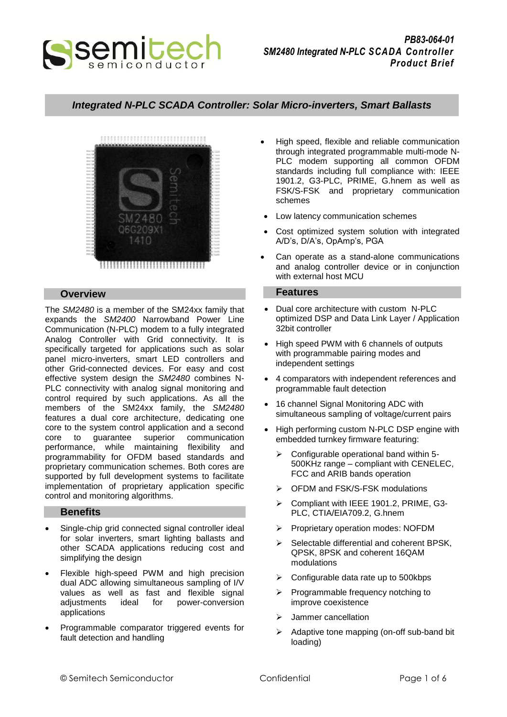

# *Integrated N-PLC SCADA Controller: Solar Micro-inverters, Smart Ballasts*



## **Overview**

The *SM2480* is a member of the SM24xx family that expands the *SM2400* Narrowband Power Line Communication (N-PLC) modem to a fully integrated Analog Controller with Grid connectivity. It is specifically targeted for applications such as solar panel micro-inverters, smart LED controllers and other Grid-connected devices. For easy and cost effective system design the *SM2480* combines N-PLC connectivity with analog signal monitoring and control required by such applications. As all the members of the SM24xx family, the *SM2480* features a dual core architecture, dedicating one core to the system control application and a second core to guarantee superior communication performance, while maintaining flexibility and programmability for OFDM based standards and proprietary communication schemes. Both cores are supported by full development systems to facilitate implementation of proprietary application specific control and monitoring algorithms.

# **Benefits**

- Single-chip grid connected signal controller ideal for solar inverters, smart lighting ballasts and other SCADA applications reducing cost and simplifying the design
- Flexible high-speed PWM and high precision dual ADC allowing simultaneous sampling of I/V values as well as fast and flexible signal adjustments ideal for power-conversion applications
- Programmable comparator triggered events for fault detection and handling
- High speed, flexible and reliable communication through integrated programmable multi-mode N-PLC modem supporting all common OFDM standards including full compliance with: IEEE 1901.2, G3-PLC, PRIME, G.hnem as well as FSK/S-FSK and proprietary communication schemes
- Low latency communication schemes
- Cost optimized system solution with integrated A/D's, D/A's, OpAmp's, PGA
- Can operate as a stand-alone communications and analog controller device or in conjunction with external host MCU

### **Features**

- Dual core architecture with custom N-PLC optimized DSP and Data Link Layer / Application 32bit controller
- High speed PWM with 6 channels of outputs with programmable pairing modes and independent settings
- 4 comparators with independent references and programmable fault detection
- 16 channel Signal Monitoring ADC with simultaneous sampling of voltage/current pairs
- High performing custom N-PLC DSP engine with embedded turnkey firmware featuring:
	- $\triangleright$  Configurable operational band within 5-500KHz range – compliant with CENELEC, FCC and ARIB bands operation
	- OFDM and FSK/S-FSK modulations
	- Compliant with IEEE 1901.2, PRIME, G3- PLC, CTIA/EIA709.2, G.hnem
	- Proprietary operation modes: NOFDM
	- $\triangleright$  Selectable differential and coherent BPSK. QPSK, 8PSK and coherent 16QAM modulations
	- $\triangleright$  Configurable data rate up to 500kbps
	- $\triangleright$  Programmable frequency notching to improve coexistence
	- > Jammer cancellation
	- Adaptive tone mapping (on-off sub-band bit loading)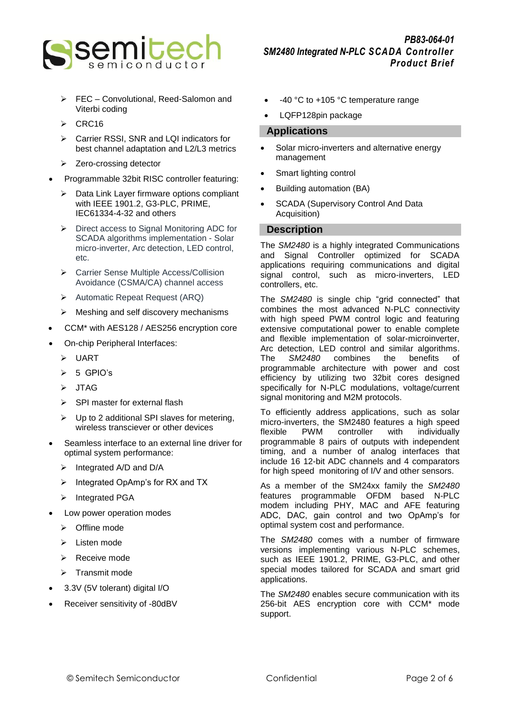

- FEC Convolutional, Reed-Salomon and Viterbi coding
- $\triangleright$  CRC16
- Carrier RSSI, SNR and LQI indicators for best channel adaptation and L2/L3 metrics
- $\triangleright$  Zero-crossing detector
- Programmable 32bit RISC controller featuring:
	- $\triangleright$  Data Link Layer firmware options compliant with IEEE 1901.2, G3-PLC, PRIME, IEC61334-4-32 and others
	- $\triangleright$  Direct access to Signal Monitoring ADC for SCADA algorithms implementation - Solar micro-inverter, Arc detection, LED control, etc.
	- Carrier Sense Multiple Access/Collision Avoidance (CSMA/CA) channel access
	- Automatic Repeat Request (ARQ)
	- $\triangleright$  Meshing and self discovery mechanisms
- CCM\* with AES128 / AES256 encryption core
- On-chip Peripheral Interfaces:
	- UART
	- $> 5$  GPIO's
	- > JTAG
	- $\triangleright$  SPI master for external flash
	- $\triangleright$  Up to 2 additional SPI slaves for metering, wireless transciever or other devices
- Seamless interface to an external line driver for optimal system performance:
	- $\triangleright$  Integrated A/D and D/A
	- $\triangleright$  Integrated OpAmp's for RX and TX
	- > Integrated PGA
- Low power operation modes
	- Offline mode
	- $\triangleright$  Listen mode
	- Receive mode
	- $\triangleright$  Transmit mode
- 3.3V (5V tolerant) digital I/O
- Receiver sensitivity of -80dBV
- -40 °C to +105 °C temperature range
- LQFP128pin package

# **Applications**

- Solar micro-inverters and alternative energy management
- Smart lighting control
- Building automation (BA)
- SCADA (Supervisory Control And Data Acquisition)

# **Description**

The *SM2480* is a highly integrated Communications and Signal Controller optimized for SCADA applications requiring communications and digital signal control, such as micro-inverters, LED controllers, etc.

The *SM2480* is single chip "grid connected" that combines the most advanced N-PLC connectivity with high speed PWM control logic and featuring extensive computational power to enable complete and flexible implementation of solar-microinverter, Arc detection, LED control and similar algorithms. The *SM2480* combines the benefits of programmable architecture with power and cost efficiency by utilizing two 32bit cores designed specifically for N-PLC modulations, voltage/current signal monitoring and M2M protocols.

To efficiently address applications, such as solar micro-inverters, the SM2480 features a high speed<br>flexible PWM controller with individually flexible PWM controller with individually programmable 8 pairs of outputs with independent timing, and a number of analog interfaces that include 16 12-bit ADC channels and 4 comparators for high speed monitoring of I/V and other sensors.

As a member of the SM24xx family the *SM2480* features programmable OFDM based N-PLC modem including PHY, MAC and AFE featuring ADC, DAC, gain control and two OpAmp's for optimal system cost and performance.

The *SM2480* comes with a number of firmware versions implementing various N-PLC schemes, such as IEEE 1901.2, PRIME, G3-PLC, and other special modes tailored for SCADA and smart grid applications.

The *SM2480* enables secure communication with its 256-bit AES encryption core with CCM\* mode support.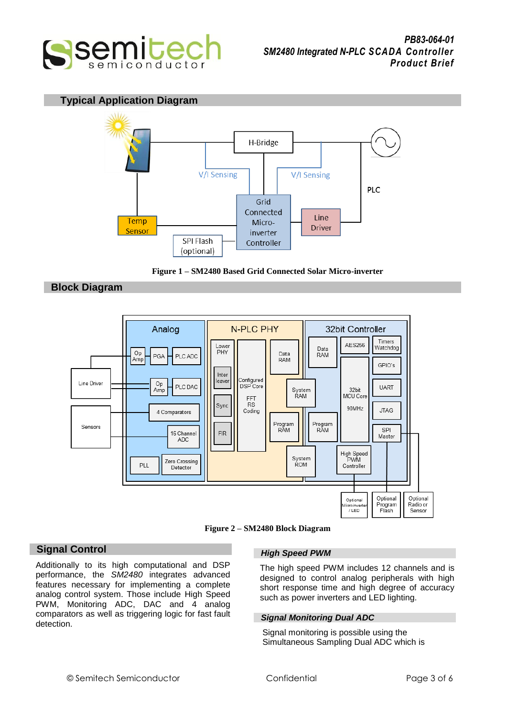

# **Typical Application Diagram**





# **Block Diagram**



**Figure 2 – SM2480 Block Diagram**

# **Signal Control**

Additionally to its high computational and DSP performance, the *SM2480* integrates advanced features necessary for implementing a complete analog control system. Those include High Speed PWM, Monitoring ADC, DAC and 4 analog comparators as well as triggering logic for fast fault detection.

# *High Speed PWM*

The high speed PWM includes 12 channels and is designed to control analog peripherals with high short response time and high degree of accuracy such as power inverters and LED lighting.

# *Signal Monitoring Dual ADC*

Signal monitoring is possible using the Simultaneous Sampling Dual ADC which is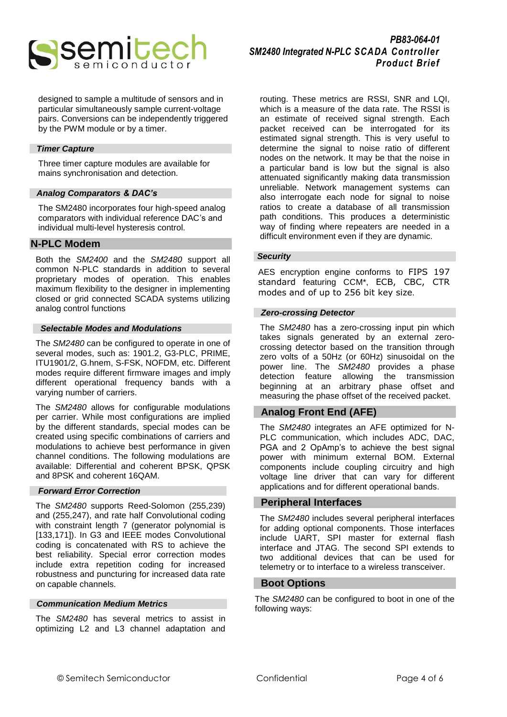

designed to sample a multitude of sensors and in particular simultaneously sample current-voltage pairs. Conversions can be independently triggered by the PWM module or by a timer.

### *Timer Capture*

Three timer capture modules are available for mains synchronisation and detection.

#### *Analog Comparators & DAC's*

The SM2480 incorporates four high-speed analog comparators with individual reference DAC's and individual multi-level hysteresis control.

### **N-PLC Modem**

Both the *SM2400* and the *SM2480* support all common N-PLC standards in addition to several proprietary modes of operation. This enables maximum flexibility to the designer in implementing closed or grid connected SCADA systems utilizing analog control functions

#### *Selectable Modes and Modulations*

The *SM2480* can be configured to operate in one of several modes, such as: 1901.2, G3-PLC, PRIME, ITU1901/2, G.hnem, S-FSK, NOFDM, etc. Different modes require different firmware images and imply different operational frequency bands with a varying number of carriers.

The *SM2480* allows for configurable modulations per carrier. While most configurations are implied by the different standards, special modes can be created using specific combinations of carriers and modulations to achieve best performance in given channel conditions. The following modulations are available: Differential and coherent BPSK, QPSK and 8PSK and coherent 16QAM.

## *Forward Error Correction*

The *SM2480* supports Reed-Solomon (255,239) and (255,247), and rate half Convolutional coding with constraint length 7 (generator polynomial is [133,171]). In G3 and IEEE modes Convolutional coding is concatenated with RS to achieve the best reliability. Special error correction modes include extra repetition coding for increased robustness and puncturing for increased data rate on capable channels.

#### *Communication Medium Metrics*

The *SM2480* has several metrics to assist in optimizing L2 and L3 channel adaptation and routing. These metrics are RSSI, SNR and LQI, which is a measure of the data rate. The RSSI is an estimate of received signal strength. Each packet received can be interrogated for its estimated signal strength. This is very useful to determine the signal to noise ratio of different nodes on the network. It may be that the noise in a particular band is low but the signal is also attenuated significantly making data transmission unreliable. Network management systems can also interrogate each node for signal to noise ratios to create a database of all transmission path conditions. This produces a deterministic way of finding where repeaters are needed in a difficult environment even if they are dynamic.

## *Security*

AES encryption engine conforms to FIPS 197 standard featuring CCM\*, ECB, CBC, CTR modes and of up to 256 bit key size.

#### *Zero-crossing Detector*

The *SM2480* has a zero-crossing input pin which takes signals generated by an external zerocrossing detector based on the transition through zero volts of a 50Hz (or 60Hz) sinusoidal on the power line. The *SM2480* provides a phase detection feature allowing the transmission beginning at an arbitrary phase offset and measuring the phase offset of the received packet.

# **Analog Front End (AFE)**

The *SM2480* integrates an AFE optimized for N-PLC communication, which includes ADC, DAC, PGA and 2 OpAmp's to achieve the best signal power with minimum external BOM. External components include coupling circuitry and high voltage line driver that can vary for different applications and for different operational bands.

### **Peripheral Interfaces**

The *SM2480* includes several peripheral interfaces for adding optional components. Those interfaces include UART, SPI master for external flash interface and JTAG. The second SPI extends to two additional devices that can be used for telemetry or to interface to a wireless transceiver.

# **Boot Options**

The *SM2480* can be configured to boot in one of the following ways: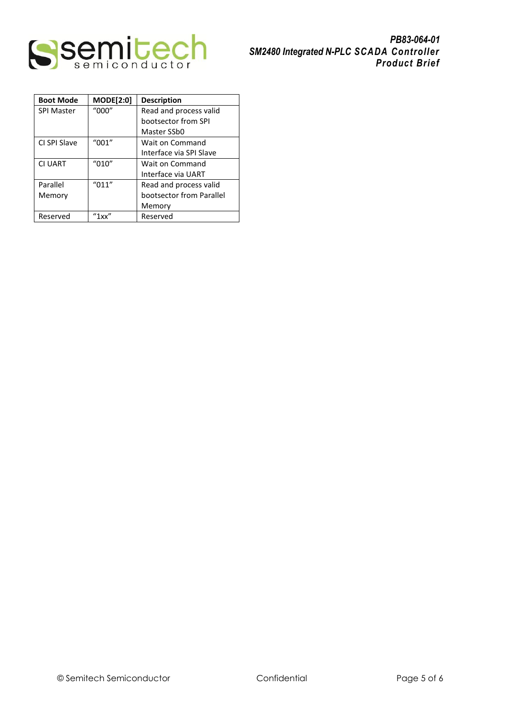

| <b>Boot Mode</b>  | <b>MODE[2:0]</b>                         | <b>Description</b>       |  |
|-------------------|------------------------------------------|--------------------------|--|
| <b>SPI Master</b> | "000"                                    | Read and process valid   |  |
|                   |                                          | bootsector from SPI      |  |
|                   |                                          | Master SSb0              |  |
| CI SPI Slave      | $^{\prime\prime}001^{\prime\prime}$      | Wait on Command          |  |
|                   |                                          | Interface via SPI Slave  |  |
| <b>CI UART</b>    | "010"                                    | Wait on Command          |  |
|                   |                                          | Interface via UART       |  |
| Parallel          | "011"                                    | Read and process valid   |  |
| Memory            |                                          | bootsector from Parallel |  |
|                   |                                          | Memory                   |  |
| Reserved          | $^{\prime\prime}$ 1 xx $^{\prime\prime}$ | Reserved                 |  |